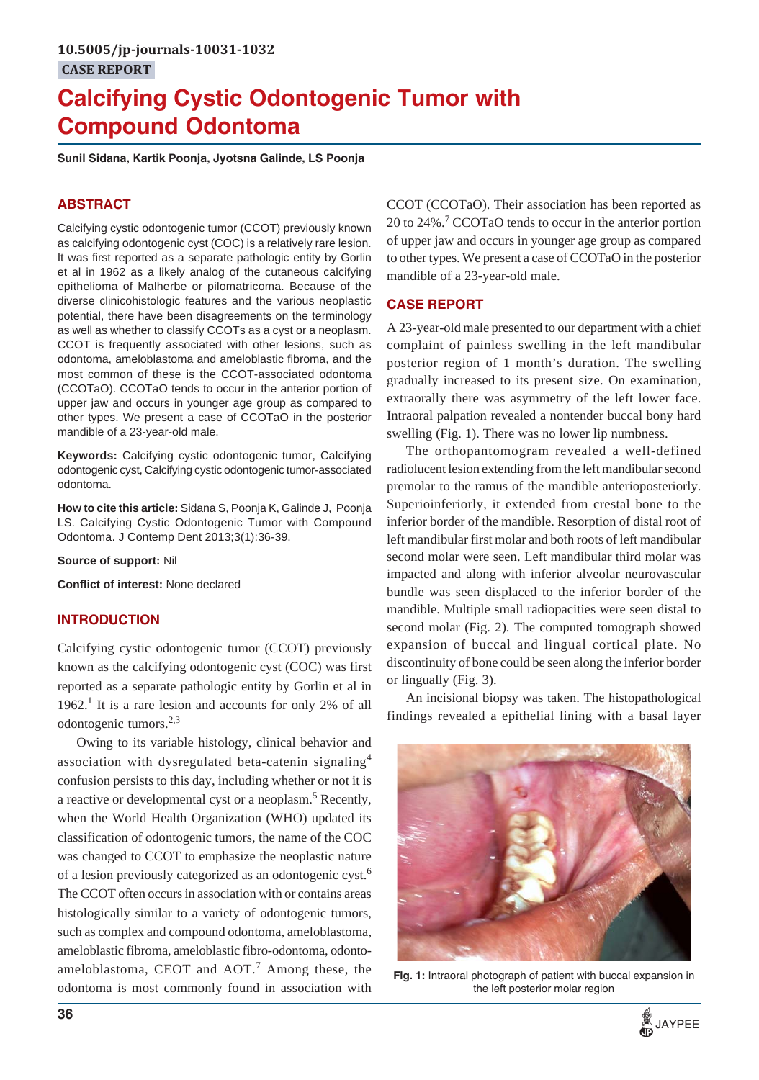# **Calcifying Cystic Odontogenic Tumor with Compound Odontoma**

**Sunil Sidana, Kartik Poonja, Jyotsna Galinde, LS Poonja**

# **ABSTRACT**

Calcifying cystic odontogenic tumor (CCOT) previously known as calcifying odontogenic cyst (COC) is a relatively rare lesion. It was first reported as a separate pathologic entity by Gorlin et al in 1962 as a likely analog of the cutaneous calcifying epithelioma of Malherbe or pilomatricoma. Because of the diverse clinicohistologic features and the various neoplastic potential, there have been disagreements on the terminology as well as whether to classify CCOTs as a cyst or a neoplasm. CCOT is frequently associated with other lesions, such as odontoma, ameloblastoma and ameloblastic fibroma, and the most common of these is the CCOT-associated odontoma (CCOTaO). CCOTaO tends to occur in the anterior portion of upper jaw and occurs in younger age group as compared to other types. We present a case of CCOTaO in the posterior mandible of a 23-year-old male.

**Keywords:** Calcifying cystic odontogenic tumor, Calcifying odontogenic cyst, Calcifying cystic odontogenic tumor-associated odontoma.

**How to cite this article:** Sidana S, Poonja K, Galinde J, Poonja LS. Calcifying Cystic Odontogenic Tumor with Compound Odontoma. J Contemp Dent 2013;3(1):36-39.

**Source of support:** Nil

**Conflict of interest:** None declared

#### **INTRODUCTION**

Calcifying cystic odontogenic tumor (CCOT) previously known as the calcifying odontogenic cyst (COC) was first reported as a separate pathologic entity by Gorlin et al in 1962.<sup>1</sup> It is a rare lesion and accounts for only 2% of all odontogenic tumors.2,3

Owing to its variable histology, clinical behavior and association with dysregulated beta-catenin signaling<sup>4</sup> confusion persists to this day, including whether or not it is a reactive or developmental cyst or a neoplasm.<sup>5</sup> Recently, when the World Health Organization (WHO) updated its classification of odontogenic tumors, the name of the COC was changed to CCOT to emphasize the neoplastic nature of a lesion previously categorized as an odontogenic cyst.6 The CCOT often occurs in association with or contains areas histologically similar to a variety of odontogenic tumors, such as complex and compound odontoma, ameloblastoma, ameloblastic fibroma, ameloblastic fibro-odontoma, odontoameloblastoma, CEOT and  $AOT.<sup>7</sup>$  Among these, the odontoma is most commonly found in association with CCOT (CCOTaO). Their association has been reported as 20 to 24%.<sup>7</sup> CCOTaO tends to occur in the anterior portion of upper jaw and occurs in younger age group as compared to other types. We present a case of CCOTaO in the posterior mandible of a 23-year-old male.

#### **CASE REPORT**

A 23-year-old male presented to our department with a chief complaint of painless swelling in the left mandibular posterior region of 1 month's duration. The swelling gradually increased to its present size. On examination, extraorally there was asymmetry of the left lower face. Intraoral palpation revealed a nontender buccal bony hard swelling (Fig. 1). There was no lower lip numbness.

The orthopantomogram revealed a well-defined radiolucent lesion extending from the left mandibular second premolar to the ramus of the mandible anterioposteriorly. Superioinferiorly, it extended from crestal bone to the inferior border of the mandible. Resorption of distal root of left mandibular first molar and both roots of left mandibular second molar were seen. Left mandibular third molar was impacted and along with inferior alveolar neurovascular bundle was seen displaced to the inferior border of the mandible. Multiple small radiopacities were seen distal to second molar (Fig. 2). The computed tomograph showed expansion of buccal and lingual cortical plate. No discontinuity of bone could be seen along the inferior border or lingually (Fig. 3).

An incisional biopsy was taken. The histopathological findings revealed a epithelial lining with a basal layer



**Fig. 1:** Intraoral photograph of patient with buccal expansion in the left posterior molar region

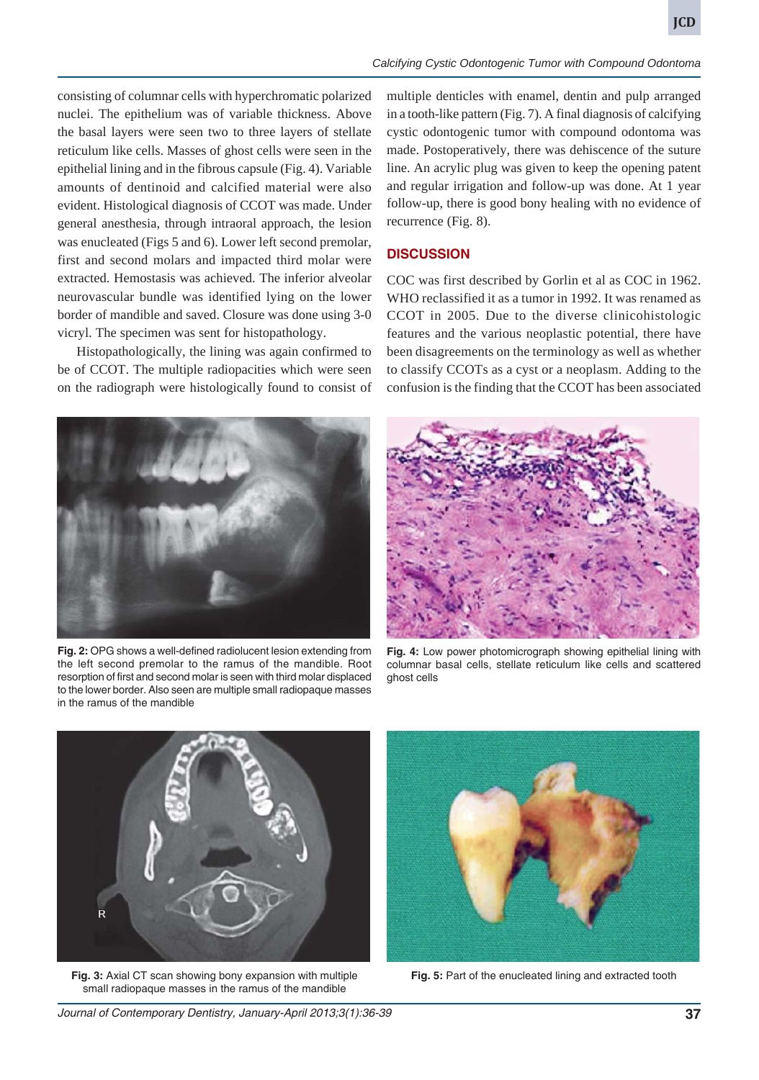*Calcifying Cystic Odontogenic Tumor with Compound Odontoma*

consisting of columnar cells with hyperchromatic polarized nuclei. The epithelium was of variable thickness. Above the basal layers were seen two to three layers of stellate reticulum like cells. Masses of ghost cells were seen in the epithelial lining and in the fibrous capsule (Fig. 4). Variable amounts of dentinoid and calcified material were also evident. Histological diagnosis of CCOT was made. Under general anesthesia, through intraoral approach, the lesion was enucleated (Figs 5 and 6). Lower left second premolar, first and second molars and impacted third molar were extracted. Hemostasis was achieved. The inferior alveolar neurovascular bundle was identified lying on the lower border of mandible and saved. Closure was done using 3-0 vicryl. The specimen was sent for histopathology.

Histopathologically, the lining was again confirmed to be of CCOT. The multiple radiopacities which were seen on the radiograph were histologically found to consist of multiple denticles with enamel, dentin and pulp arranged in a tooth-like pattern (Fig. 7). A final diagnosis of calcifying cystic odontogenic tumor with compound odontoma was made. Postoperatively, there was dehiscence of the suture line. An acrylic plug was given to keep the opening patent and regular irrigation and follow-up was done. At 1 year follow-up, there is good bony healing with no evidence of recurrence (Fig. 8).

## **DISCUSSION**

COC was first described by Gorlin et al as COC in 1962. WHO reclassified it as a tumor in 1992. It was renamed as CCOT in 2005. Due to the diverse clinicohistologic features and the various neoplastic potential, there have been disagreements on the terminology as well as whether to classify CCOTs as a cyst or a neoplasm. Adding to the confusion is the finding that the CCOT has been associated



**Fig. 2:** OPG shows a well-defined radiolucent lesion extending from the left second premolar to the ramus of the mandible. Root resorption of first and second molar is seen with third molar displaced to the lower border. Also seen are multiple small radiopaque masses in the ramus of the mandible



**Fig. 4:** Low power photomicrograph showing epithelial lining with columnar basal cells, stellate reticulum like cells and scattered ghost cells



**Fig. 3:** Axial CT scan showing bony expansion with multiple small radiopaque masses in the ramus of the mandible



**Fig. 5:** Part of the enucleated lining and extracted tooth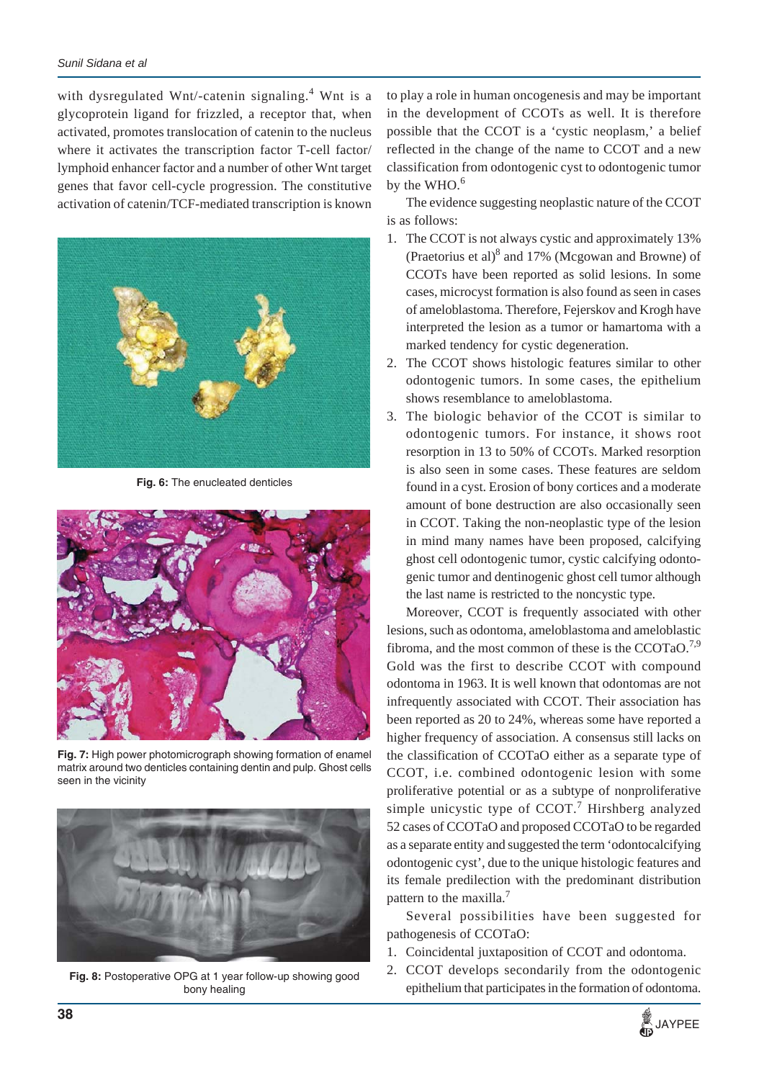with dysregulated Wnt/-catenin signaling.<sup>4</sup> Wnt is a glycoprotein ligand for frizzled, a receptor that, when activated, promotes translocation of catenin to the nucleus where it activates the transcription factor T-cell factor/ lymphoid enhancer factor and a number of other Wnt target genes that favor cell-cycle progression. The constitutive activation of catenin/TCF-mediated transcription is known



**Fig. 6:** The enucleated denticles



**Fig. 7:** High power photomicrograph showing formation of enamel matrix around two denticles containing dentin and pulp. Ghost cells seen in the vicinity



**Fig. 8:** Postoperative OPG at 1 year follow-up showing good bony healing

to play a role in human oncogenesis and may be important in the development of CCOTs as well. It is therefore possible that the CCOT is a 'cystic neoplasm,' a belief reflected in the change of the name to CCOT and a new classification from odontogenic cyst to odontogenic tumor by the  $WHO.<sup>6</sup>$ 

The evidence suggesting neoplastic nature of the CCOT is as follows:

- 1. The CCOT is not always cystic and approximately 13% (Praetorius et al) $8$  and 17% (Mcgowan and Browne) of CCOTs have been reported as solid lesions. In some cases, microcyst formation is also found as seen in cases of ameloblastoma. Therefore, Fejerskov and Krogh have interpreted the lesion as a tumor or hamartoma with a marked tendency for cystic degeneration.
- 2. The CCOT shows histologic features similar to other odontogenic tumors. In some cases, the epithelium shows resemblance to ameloblastoma.
- 3. The biologic behavior of the CCOT is similar to odontogenic tumors. For instance, it shows root resorption in 13 to 50% of CCOTs. Marked resorption is also seen in some cases. These features are seldom found in a cyst. Erosion of bony cortices and a moderate amount of bone destruction are also occasionally seen in CCOT. Taking the non-neoplastic type of the lesion in mind many names have been proposed, calcifying ghost cell odontogenic tumor, cystic calcifying odontogenic tumor and dentinogenic ghost cell tumor although the last name is restricted to the noncystic type.

Moreover, CCOT is frequently associated with other lesions, such as odontoma, ameloblastoma and ameloblastic fibroma, and the most common of these is the CCOTaO.<sup>7,9</sup> Gold was the first to describe CCOT with compound odontoma in 1963. It is well known that odontomas are not infrequently associated with CCOT. Their association has been reported as 20 to 24%, whereas some have reported a higher frequency of association. A consensus still lacks on the classification of CCOTaO either as a separate type of CCOT, i.e. combined odontogenic lesion with some proliferative potential or as a subtype of nonproliferative simple unicystic type of CCOT.<sup>7</sup> Hirshberg analyzed 52 cases of CCOTaO and proposed CCOTaO to be regarded as a separate entity and suggested the term 'odontocalcifying odontogenic cyst', due to the unique histologic features and its female predilection with the predominant distribution pattern to the maxilla.<sup>7</sup>

Several possibilities have been suggested for pathogenesis of CCOTaO:

- 1. Coincidental juxtaposition of CCOT and odontoma.
- 2. CCOT develops secondarily from the odontogenic epithelium that participates in the formation of odontoma.